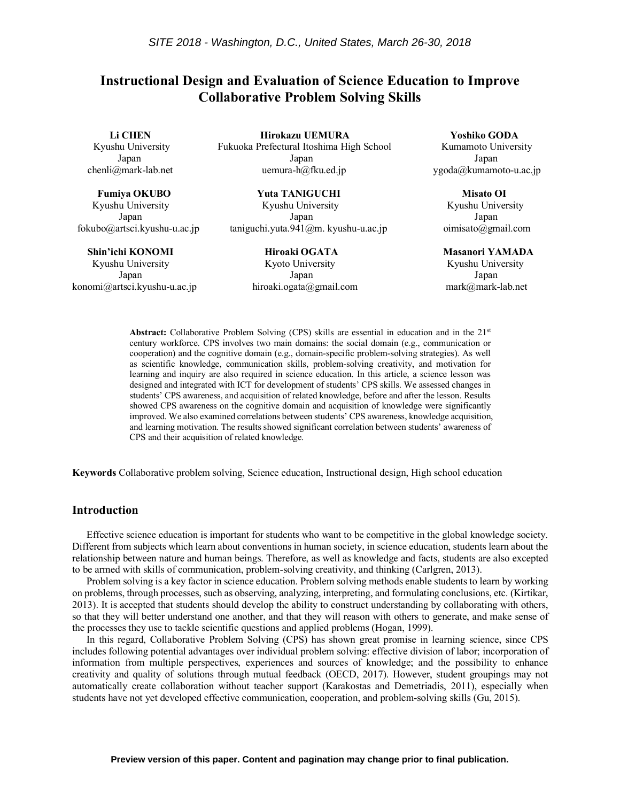# **Instructional Design and Evaluation of Science Education to Improve Collaborative Problem Solving Skills**

**Shin'ichi KONOMI Hiroaki OGATA Masanori YAMADA** Kyushu University Kyoto University Kyushu University konomi@artsci.kyushu-u.ac.jp hiroaki.ogata@gmail.com mark@mark-lab.net

 **Li CHEN Hirokazu UEMURA Yoshiko GODA** Kyushu University Fukuoka Prefectural Itoshima High School Kumamoto University Japan Japan Japan chenli@mark-lab.net uemura-h@fku.ed.jp ygoda@kumamoto-u.ac.jp

**Fumiya OKUBO** *Yuta TANIGUCHI* **<b>Misato OI** Kyushu University Kyushu University Kyushu University Japan Japan Japan fokubo@artsci.kyushu-u.ac.jp taniguchi.yuta.941@m. kyushu-u.ac.jp oimisato@gmail.com

Japan Japan Japan

Abstract: Collaborative Problem Solving (CPS) skills are essential in education and in the 21<sup>st</sup> century workforce. CPS involves two main domains: the social domain (e.g., communication or cooperation) and the cognitive domain (e.g., domain-specific problem-solving strategies). As well as scientific knowledge, communication skills, problem-solving creativity, and motivation for learning and inquiry are also required in science education. In this article, a science lesson was designed and integrated with ICT for development of students' CPS skills. We assessed changes in students' CPS awareness, and acquisition of related knowledge, before and after the lesson. Results showed CPS awareness on the cognitive domain and acquisition of knowledge were significantly improved. We also examined correlations between students' CPS awareness, knowledge acquisition, and learning motivation. The results showed significant correlation between students' awareness of CPS and their acquisition of related knowledge.

**Keywords** Collaborative problem solving, Science education, Instructional design, High school education

## **Introduction**

Effective science education is important for students who want to be competitive in the global knowledge society. Different from subjects which learn about conventions in human society, in science education, students learn about the relationship between nature and human beings. Therefore, as well as knowledge and facts, students are also excepted to be armed with skills of communication, problem-solving creativity, and thinking (Carlgren, 2013).

Problem solving is a key factor in science education. Problem solving methods enable students to learn by working on problems, through processes, such as observing, analyzing, interpreting, and formulating conclusions, etc. (Kirtikar, 2013). It is accepted that students should develop the ability to construct understanding by collaborating with others, so that they will better understand one another, and that they will reason with others to generate, and make sense of the processes they use to tackle scientific questions and applied problems (Hogan, 1999).

In this regard, Collaborative Problem Solving (CPS) has shown great promise in learning science, since CPS includes following potential advantages over individual problem solving: effective division of labor; incorporation of information from multiple perspectives, experiences and sources of knowledge; and the possibility to enhance creativity and quality of solutions through mutual feedback (OECD, 2017). However, student groupings may not automatically create collaboration without teacher support (Karakostas and Demetriadis, 2011), especially when students have not yet developed effective communication, cooperation, and problem-solving skills (Gu, 2015).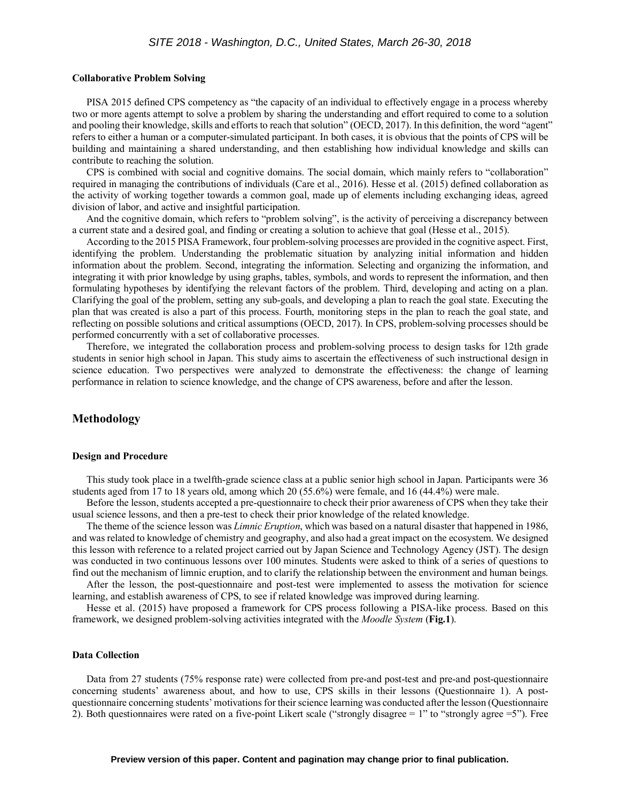#### **Collaborative Problem Solving**

PISA 2015 defined CPS competency as "the capacity of an individual to effectively engage in a process whereby two or more agents attempt to solve a problem by sharing the understanding and effort required to come to a solution and pooling their knowledge, skills and efforts to reach that solution" (OECD, 2017). In this definition, the word "agent" refers to either a human or a computer-simulated participant. In both cases, it is obvious that the points of CPS will be building and maintaining a shared understanding, and then establishing how individual knowledge and skills can contribute to reaching the solution.

CPS is combined with social and cognitive domains. The social domain, which mainly refers to "collaboration" required in managing the contributions of individuals (Care et al., 2016). Hesse et al. (2015) defined collaboration as the activity of working together towards a common goal, made up of elements including exchanging ideas, agreed division of labor, and active and insightful participation.

And the cognitive domain, which refers to "problem solving", is the activity of perceiving a discrepancy between a current state and a desired goal, and finding or creating a solution to achieve that goal (Hesse et al., 2015).

According to the 2015 PISA Framework, four problem-solving processes are provided in the cognitive aspect. First, identifying the problem. Understanding the problematic situation by analyzing initial information and hidden information about the problem. Second, integrating the information. Selecting and organizing the information, and integrating it with prior knowledge by using graphs, tables, symbols, and words to represent the information, and then formulating hypotheses by identifying the relevant factors of the problem. Third, developing and acting on a plan. Clarifying the goal of the problem, setting any sub-goals, and developing a plan to reach the goal state. Executing the plan that was created is also a part of this process. Fourth, monitoring steps in the plan to reach the goal state, and reflecting on possible solutions and critical assumptions (OECD, 2017). In CPS, problem-solving processes should be performed concurrently with a set of collaborative processes.

Therefore, we integrated the collaboration process and problem-solving process to design tasks for 12th grade students in senior high school in Japan. This study aims to ascertain the effectiveness of such instructional design in science education. Two perspectives were analyzed to demonstrate the effectiveness: the change of learning performance in relation to science knowledge, and the change of CPS awareness, before and after the lesson.

## **Methodology**

## **Design and Procedure**

This study took place in a twelfth-grade science class at a public senior high school in Japan. Participants were 36 students aged from 17 to 18 years old, among which 20 (55.6%) were female, and 16 (44.4%) were male.

Before the lesson, students accepted a pre-questionnaire to check their prior awareness of CPS when they take their usual science lessons, and then a pre-test to check their prior knowledge of the related knowledge.

The theme of the science lesson was *Limnic Eruption*, which was based on a natural disaster that happened in 1986, and was related to knowledge of chemistry and geography, and also had a great impact on the ecosystem. We designed this lesson with reference to a related project carried out by Japan Science and Technology Agency (JST). The design was conducted in two continuous lessons over 100 minutes. Students were asked to think of a series of questions to find out the mechanism of limnic eruption, and to clarify the relationship between the environment and human beings.

After the lesson, the post-questionnaire and post-test were implemented to assess the motivation for science learning, and establish awareness of CPS, to see if related knowledge was improved during learning.

Hesse et al. (2015) have proposed a framework for CPS process following a PISA-like process. Based on this framework, we designed problem-solving activities integrated with the *Moodle System* (**Fig.1**).

#### **Data Collection**

Data from 27 students (75% response rate) were collected from pre-and post-test and pre-and post-questionnaire concerning students' awareness about, and how to use, CPS skills in their lessons (Questionnaire 1). A postquestionnaire concerning students' motivations for their science learning was conducted after the lesson (Questionnaire 2). Both questionnaires were rated on a five-point Likert scale ("strongly disagree = 1" to "strongly agree =5"). Free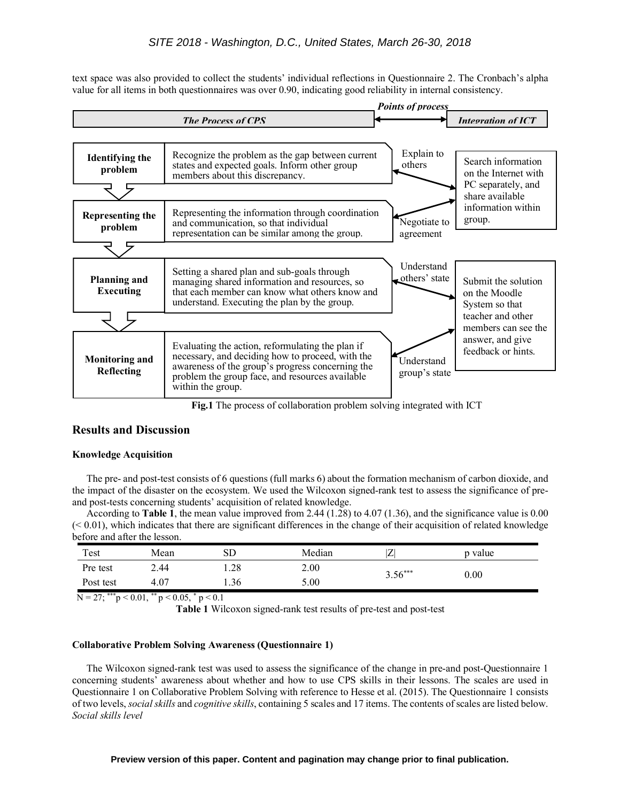text space was also provided to collect the students' individual reflections in Questionnaire 2. The Cronbach's alpha value for all items in both questionnaires was over 0.90, indicating good reliability in internal consistency.



**Fig.1** The process of collaboration problem solving integrated with ICT

## **Results and Discussion**

#### **Knowledge Acquisition**

The pre- and post-test consists of 6 questions (full marks 6) about the formation mechanism of carbon dioxide, and the impact of the disaster on the ecosystem. We used the Wilcoxon signed-rank test to assess the significance of preand post-tests concerning students' acquisition of related knowledge.

According to **Table 1**, the mean value improved from 2.44 (1.28) to 4.07 (1.36), and the significance value is 0.00  $( $0.01$ ), which indicates that there are significant differences in the change of their acquisition of related knowledge$ before and after the lesson.

| Test      | Mean | $_{\rm SD}$ | Median | Z         | p value  |
|-----------|------|-------------|--------|-----------|----------|
| Pre test  | 2.44 | 1.28        | 2.00   | $3.56***$ | $0.00\,$ |
| Post test | 4.07 | 1.36        | 5.00   |           |          |

 $N = 27$ ; \*\*\*p < 0.01, \*\*p < 0.05, \*p < 0.1

**Table 1** Wilcoxon signed-rank test results of pre-test and post-test

#### **Collaborative Problem Solving Awareness (Questionnaire 1)**

The Wilcoxon signed-rank test was used to assess the significance of the change in pre-and post-Questionnaire 1 concerning students' awareness about whether and how to use CPS skills in their lessons. The scales are used in Questionnaire 1 on Collaborative Problem Solving with reference to Hesse et al. (2015). The Questionnaire 1 consists of two levels, *social skills* and *cognitive skills*, containing 5 scales and 17 items. The contents of scales are listed below. *Social skills level*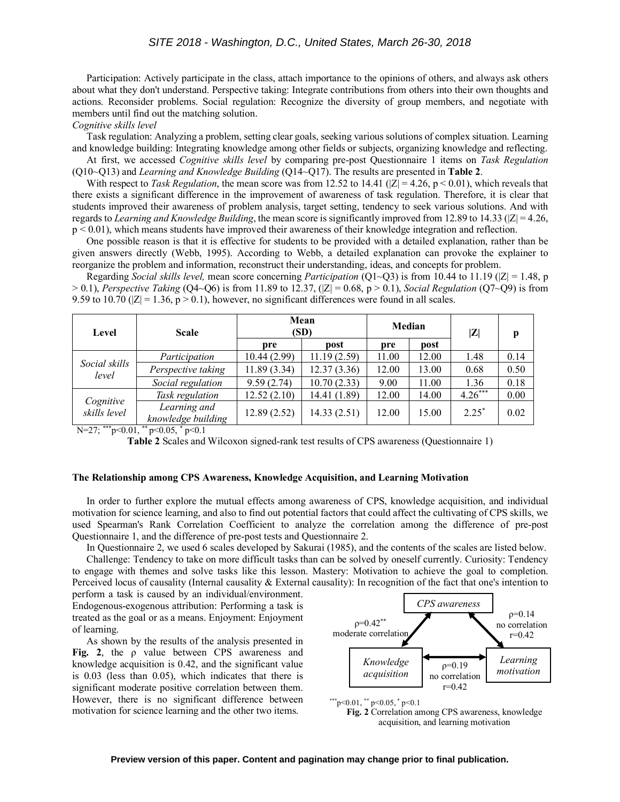Participation: Actively participate in the class, attach importance to the opinions of others, and always ask others about what they don't understand. Perspective taking: Integrate contributions from others into their own thoughts and actions. Reconsider problems. Social regulation: Recognize the diversity of group members, and negotiate with members until find out the matching solution.

*Cognitive skills level*

Task regulation: Analyzing a problem, setting clear goals, seeking various solutions of complex situation. Learning and knowledge building: Integrating knowledge among other fields or subjects, organizing knowledge and reflecting. At first, we accessed *Cognitive skills level* by comparing pre-post Questionnaire 1 items on *Task Regulation* 

(Q10~Q13) and *Learning and Knowledge Building* (Q14~Q17). The results are presented in **Table 2**.

With respect to *Task Regulation*, the mean score was from 12.52 to 14.41 ( $|Z| = 4.26$ ,  $p < 0.01$ ), which reveals that there exists a significant difference in the improvement of awareness of task regulation. Therefore, it is clear that students improved their awareness of problem analysis, target setting, tendency to seek various solutions. And with regards to *Learning and Knowledge Building*, the mean score is significantly improved from 12.89 to 14.33 ( $|Z| = 4.26$ , p < 0.01), which means students have improved their awareness of their knowledge integration and reflection.

One possible reason is that it is effective for students to be provided with a detailed explanation, rather than be given answers directly (Webb, 1995). According to Webb, a detailed explanation can provoke the explainer to reorganize the problem and information, reconstruct their understanding, ideas, and concepts for problem.

Regarding *Social skills level,* mean score concerning *Participation* (Q1~Q3) is from 10.44 to 11.19 (|Z| = 1.48, p  $> 0.1$ ), *Perspective Taking* (Q4~Q6) is from 11.89 to 12.37, ( $|Z| = 0.68$ , p  $> 0.1$ ), *Social Regulation* (Q7~Q9) is from 9.59 to 10.70 ( $|Z| = 1.36$ ,  $p > 0.1$ ), however, no significant differences were found in all scales.

| Level                     | <b>Scale</b>                       | Mean<br>(SD) | Median       |       | Z           | p         |      |
|---------------------------|------------------------------------|--------------|--------------|-------|-------------|-----------|------|
|                           |                                    | pre          | <b>post</b>  | pre   | <b>post</b> |           |      |
| Social skills<br>level    | Participation                      | 10.44(2.99)  | 11.19(2.59)  | 11.00 | 12.00       | 1.48      | 0.14 |
|                           | Perspective taking                 | 11.89(3.34)  | 12.37(3.36)  | 12.00 | 13.00       | 0.68      | 0.50 |
|                           | Social regulation                  | 9.59(2.74)   | 10.70(2.33)  | 9.00  | 11.00       | 1.36      | 0.18 |
|                           | Task regulation                    | 12.52(2.10)  | 14.41 (1.89) | 12.00 | 14.00       | $4.26***$ | 0.00 |
| Cognitive<br>skills level | Learning and<br>knowledge building | 12.89(2.52)  | 14.33(2.51)  | 12.00 | 15.00       | $2.25*$   | 0.02 |

N=27; \*\*\*  $p<0.01$ , \*\*  $p<0.05$ , \*  $p<0.1$ 

**Table 2** Scales and Wilcoxon signed-rank test results of CPS awareness (Questionnaire 1)

#### **The Relationship among CPS Awareness, Knowledge Acquisition, and Learning Motivation**

In order to further explore the mutual effects among awareness of CPS, knowledge acquisition, and individual motivation for science learning, and also to find out potential factors that could affect the cultivating of CPS skills, we used Spearman's Rank Correlation Coefficient to analyze the correlation among the difference of pre-post Questionnaire 1, and the difference of pre-post tests and Questionnaire 2.

In Questionnaire 2, we used 6 scales developed by Sakurai (1985), and the contents of the scales are listed below. Challenge: Tendency to take on more difficult tasks than can be solved by oneself currently. Curiosity: Tendency to engage with themes and solve tasks like this lesson. Mastery: Motivation to achieve the goal to completion.

Perceived locus of causality (Internal causality  $&$  External causality): In recognition of the fact that one's intention to perform a task is caused by an individual/environment.

Endogenous-exogenous attribution: Performing a task is treated as the goal or as a means. Enjoyment: Enjoyment of learning.

As shown by the results of the analysis presented in **Fig. 2**, the ρ value between CPS awareness and knowledge acquisition is 0.42, and the significant value is 0.03 (less than 0.05), which indicates that there is significant moderate positive correlation between them. However, there is no significant difference between motivation for science learning and the other two items.



acquisition, and learning motivation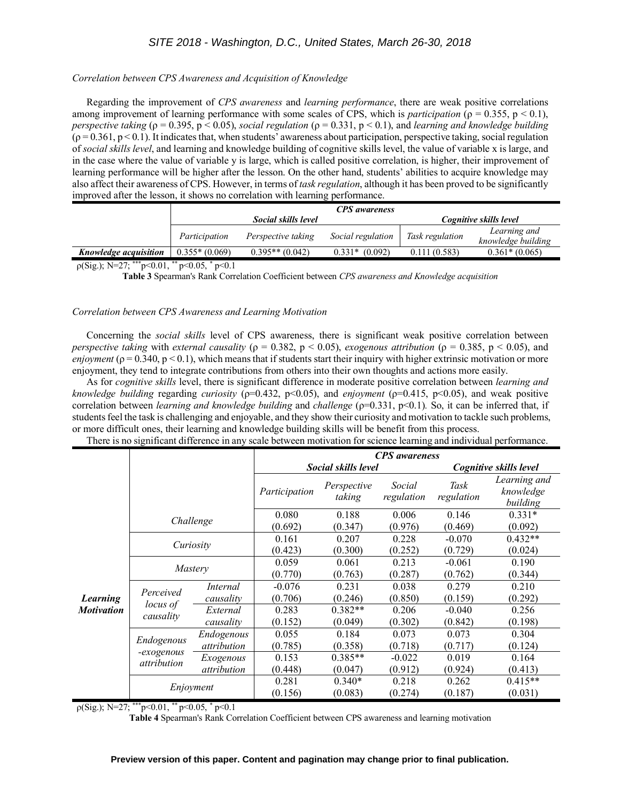## *SITE 2018 - Washington, D.C., United States, March 26-30, 2018*

## *Correlation between CPS Awareness and Acquisition of Knowledge*

Regarding the improvement of *CPS awareness* and *learning performance*, there are weak positive correlations among improvement of learning performance with some scales of CPS, which is *participation* ( $\rho = 0.355$ ,  $p < 0.1$ ), *perspective taking* (ρ = 0.395, p < 0.05), *social regulation* (ρ = 0.331, p < 0.1), and *learning and knowledge building*  $(p = 0.361, p < 0.1)$ . It indicates that, when students' awareness about participation, perspective taking, social regulation of *social skills level*, and learning and knowledge building of cognitive skills level, the value of variable x is large, and in the case where the value of variable y is large, which is called positive correlation, is higher, their improvement of learning performance will be higher after the lesson. On the other hand, students' abilities to acquire knowledge may also affect their awareness of CPS. However, in terms of *task regulation*, although it has been proved to be significantly improved after the lesson, it shows no correlation with learning performance.

|                                                                                                                                                                                                                                    |                 |                     | <b>CPS</b> awareness   |                 |                                    |
|------------------------------------------------------------------------------------------------------------------------------------------------------------------------------------------------------------------------------------|-----------------|---------------------|------------------------|-----------------|------------------------------------|
|                                                                                                                                                                                                                                    |                 | Social skills level | Cognitive skills level |                 |                                    |
|                                                                                                                                                                                                                                    | Participation   | Perspective taking  | Social regulation      | Task regulation | Learning and<br>knowledge building |
| <i>Knowledge acquisition</i>                                                                                                                                                                                                       | $0.355*(0.069)$ | $0.395**$ (0.042)   | $0.331*$ (0.092)       | 0.111(0.583)    | $0.361*(0.065)$                    |
| the contract of the contract of the contract of the contract of the contract of the contract of the contract of<br>the contract of the contract of the contract of the contract of the contract of the contract of the contract of |                 |                     |                        |                 |                                    |

 $p(Sig.); N=27;$  \*\*\* $p<0.01,$  \*\*  $p<0.05,$  \*  $p<0.1$ 

**Table 3** Spearman's Rank Correlation Coefficient between *CPS awareness and Knowledge acquisition*

## *Correlation between CPS Awareness and Learning Motivation*

Concerning the *social skills* level of CPS awareness, there is significant weak positive correlation between *perspective taking* with *external causality* ( $p = 0.382$ ,  $p < 0.05$ ), *exogenous attribution* ( $p = 0.385$ ,  $p < 0.05$ ), and *enjoyment*  $(\rho = 0.340, p \le 0.1)$ , which means that if students start their inquiry with higher extrinsic motivation or more enjoyment, they tend to integrate contributions from others into their own thoughts and actions more easily.

As for *cognitive skills* level, there is significant difference in moderate positive correlation between *learning and knowledge building* regarding *curiosity* (ρ=0.432, p<0.05), and *enjoyment* (ρ=0.415, p<0.05), and weak positive correlation between *learning and knowledge building* and *challenge* (ρ=0.331, p<0.1). So, it can be inferred that, if students feel the task is challenging and enjoyable, and they show their curiosity and motivation to tackle such problems, or more difficult ones, their learning and knowledge building skills will be benefit from this process.

| There is no significant difference in any scale between motivation for science learning and individual performance. |  |  |  |
|---------------------------------------------------------------------------------------------------------------------|--|--|--|
|                                                                                                                     |  |  |  |

|                   |                                         |             | <b>CPS</b> awareness |                       |                        |                    |                                       |  |
|-------------------|-----------------------------------------|-------------|----------------------|-----------------------|------------------------|--------------------|---------------------------------------|--|
|                   |                                         |             |                      | Social skills level   | Cognitive skills level |                    |                                       |  |
|                   |                                         |             | Participation        | Perspective<br>taking | Social<br>regulation   | Task<br>regulation | Learning and<br>knowledge<br>building |  |
|                   | Challenge                               |             | 0.080                | 0.188                 | 0.006                  | 0.146              | $0.331*$                              |  |
|                   |                                         |             | (0.692)              | (0.347)               | (0.976)                | (0.469)            | (0.092)                               |  |
|                   | Curiosity                               |             | 0.161                | 0.207                 | 0.228                  | $-0.070$           | $0.432**$                             |  |
|                   |                                         |             | (0.423)              | (0.300)               | (0.252)                | (0.729)            | (0.024)                               |  |
|                   | Mastery                                 |             | 0.059                | 0.061                 | 0.213                  | $-0.061$           | 0.190                                 |  |
|                   |                                         |             | (0.770)              | (0.763)               | (0.287)                | (0.762)            | (0.344)                               |  |
|                   | Perceived<br>locus of<br>causality      | Internal    | $-0.076$             | 0.231                 | 0.038                  | 0.279              | 0.210                                 |  |
| <b>Learning</b>   |                                         | causality   | (0.706)              | (0.246)               | (0.850)                | (0.159)            | (0.292)                               |  |
| <b>Motivation</b> |                                         | External    | 0.283                | $0.382**$             | 0.206                  | $-0.040$           | 0.256                                 |  |
|                   |                                         | causality   | (0.152)              | (0.049)               | (0.302)                | (0.842)            | (0.198)                               |  |
|                   | Endogenous<br>-exogenous<br>attribution | Endogenous  | 0.055                | 0.184                 | 0.073                  | 0.073              | 0.304                                 |  |
|                   |                                         | attribution | (0.785)              | (0.358)               | (0.718)                | (0.717)            | (0.124)                               |  |
|                   |                                         | Exogenous   | 0.153                | $0.385**$             | $-0.022$               | 0.019              | 0.164                                 |  |
|                   |                                         | attribution | (0.448)              | (0.047)               | (0.912)                | (0.924)            | (0.413)                               |  |
|                   | Enjoyment                               |             | 0.281                | $0.340*$              | 0.218                  | 0.262              | $0.415**$                             |  |
|                   |                                         |             | (0.156)              | (0.083)               | (0.274)                | (0.187)            | (0.031)                               |  |

 $p(Sig.); N=27;$ <sup>\*\*\*</sup>p<0.01,<sup>\*\*</sup>p<0.05,<sup>\*</sup>p<0.1

**Table 4** Spearman's Rank Correlation Coefficient between CPS awareness and learning motivation

## **Preview version of this paper. Content and pagination may change prior to final publication.**